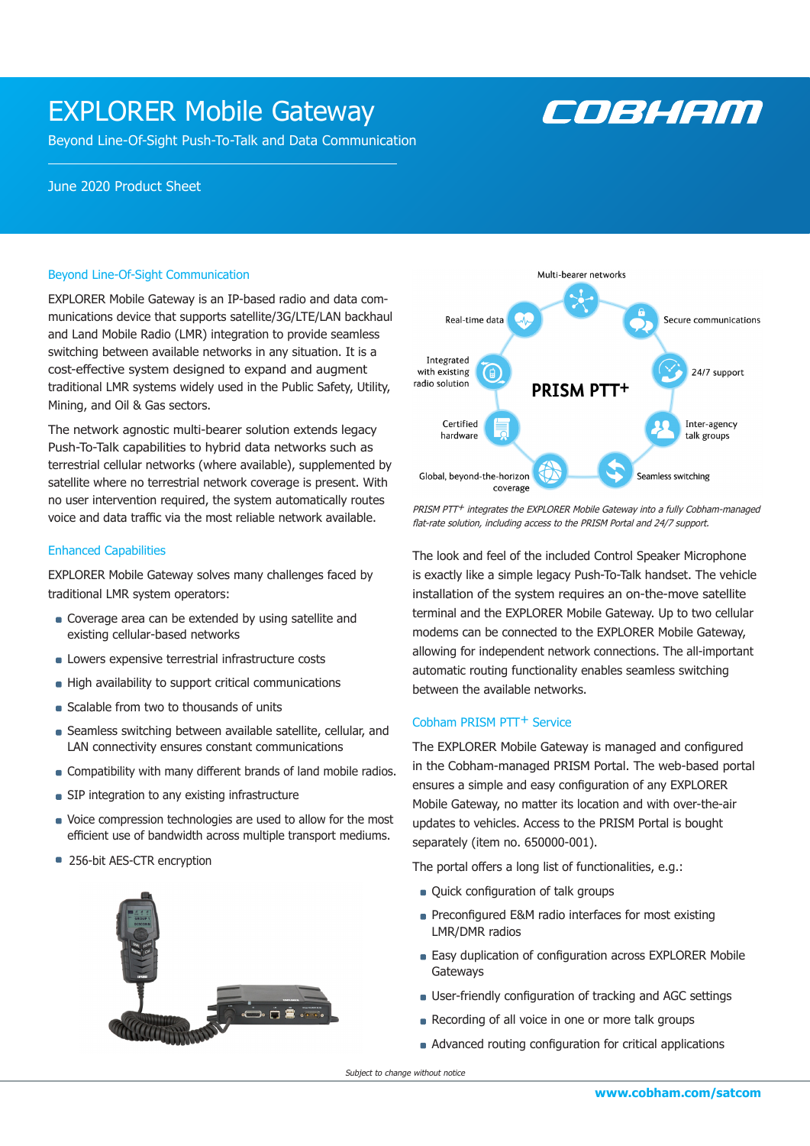### EXPLORER Mobile Gateway

Beyond Line-Of-Sight Push-To-Talk and Data Communication

# COBHEM

### June 2020 Product Sheet

### Beyond Line-Of-Sight Communication

EXPLORER Mobile Gateway is an IP-based radio and data communications device that supports satellite/3G/LTE/LAN backhaul and Land Mobile Radio (LMR) integration to provide seamless switching between available networks in any situation. It is a cost-effective system designed to expand and augment traditional LMR systems widely used in the Public Safety, Utility, Mining, and Oil & Gas sectors.

The network agnostic multi-bearer solution extends legacy Push-To-Talk capabilities to hybrid data networks such as terrestrial cellular networks (where available), supplemented by satellite where no terrestrial network coverage is present. With no user intervention required, the system automatically routes voice and data traffic via the most reliable network available.

### Enhanced Capabilities

EXPLORER Mobile Gateway solves many challenges faced by traditional LMR system operators:

- Coverage area can be extended by using satellite and existing cellular-based networks
- **Lowers expensive terrestrial infrastructure costs**
- **High availability to support critical communications**
- Scalable from two to thousands of units
- **B** Seamless switching between available satellite, cellular, and LAN connectivity ensures constant communications
- **Compatibility with many different brands of land mobile radios.**
- **SIP** integration to any existing infrastructure
- Voice compression technologies are used to allow for the most efficient use of bandwidth across multiple transport mediums.
- 256-bit AES-CTR encryption





PRISM PTT<sup>+</sup> integrates the EXPLORER Mobile Gateway into a fully Cobham-managed flat-rate solution, including access to the PRISM Portal and 24/7 support.

The look and feel of the included Control Speaker Microphone is exactly like a simple legacy Push-To-Talk handset. The vehicle installation of the system requires an on-the-move satellite terminal and the EXPLORER Mobile Gateway. Up to two cellular modems can be connected to the EXPLORER Mobile Gateway, allowing for independent network connections. The all-important automatic routing functionality enables seamless switching between the available networks.

### Cobham PRISM PTT+ Service

The EXPLORER Mobile Gateway is managed and configured in the Cobham-managed PRISM Portal. The web-based portal ensures a simple and easy configuration of any EXPLORER Mobile Gateway, no matter its location and with over-the-air updates to vehicles. Access to the PRISM Portal is bought separately (item no. 650000-001).

The portal offers a long list of functionalities, e.g.:

- **Quick configuration of talk groups**
- **Preconfigured E&M radio interfaces for most existing** LMR/DMR radios
- Easy duplication of configuration across EXPLORER Mobile Gateways
- User-friendly configuration of tracking and AGC settings
- Recording of all voice in one or more talk groups
- Advanced routing configuration for critical applications

Subject to change without notice